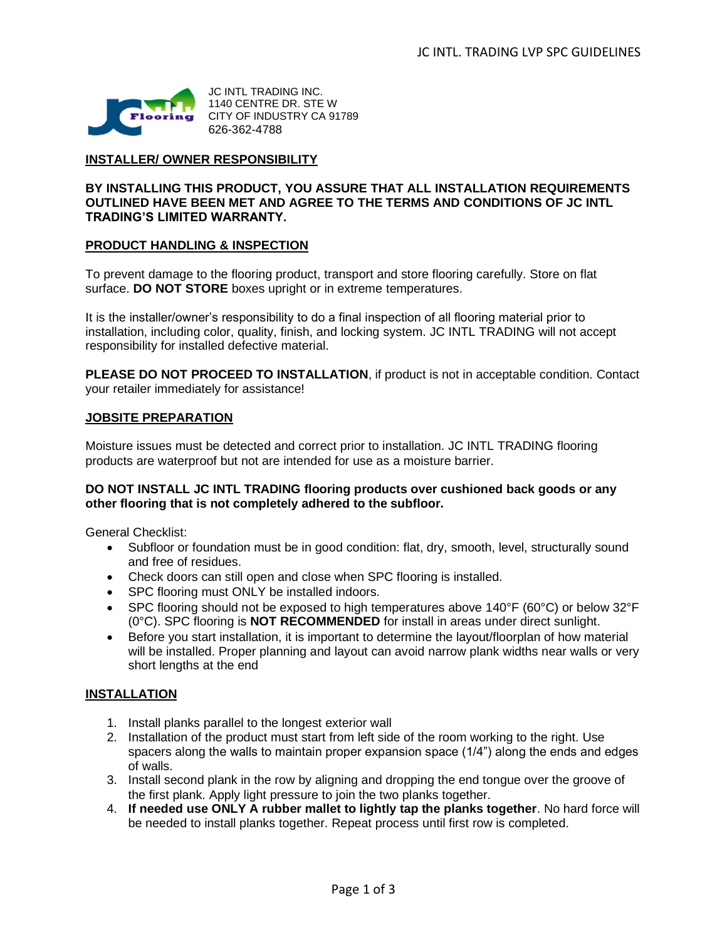

JC INTL TRADING INC. 1140 CENTRE DR. STE W CITY OF INDUSTRY CA 91789 626-362-4788

## **INSTALLER/ OWNER RESPONSIBILITY**

## **BY INSTALLING THIS PRODUCT, YOU ASSURE THAT ALL INSTALLATION REQUIREMENTS OUTLINED HAVE BEEN MET AND AGREE TO THE TERMS AND CONDITIONS OF JC INTL TRADING'S LIMITED WARRANTY.**

#### **PRODUCT HANDLING & INSPECTION**

To prevent damage to the flooring product, transport and store flooring carefully. Store on flat surface. **DO NOT STORE** boxes upright or in extreme temperatures.

It is the installer/owner's responsibility to do a final inspection of all flooring material prior to installation, including color, quality, finish, and locking system. JC INTL TRADING will not accept responsibility for installed defective material.

**PLEASE DO NOT PROCEED TO INSTALLATION**, if product is not in acceptable condition. Contact your retailer immediately for assistance!

## **JOBSITE PREPARATION**

Moisture issues must be detected and correct prior to installation. JC INTL TRADING flooring products are waterproof but not are intended for use as a moisture barrier.

#### **DO NOT INSTALL JC INTL TRADING flooring products over cushioned back goods or any other flooring that is not completely adhered to the subfloor.**

General Checklist:

- Subfloor or foundation must be in good condition: flat, dry, smooth, level, structurally sound and free of residues.
- Check doors can still open and close when SPC flooring is installed.
- SPC flooring must ONLY be installed indoors.
- SPC flooring should not be exposed to high temperatures above 140°F (60°C) or below 32°F (0°C). SPC flooring is **NOT RECOMMENDED** for install in areas under direct sunlight.
- Before you start installation, it is important to determine the layout/floorplan of how material will be installed. Proper planning and layout can avoid narrow plank widths near walls or very short lengths at the end

## **INSTALLATION**

- 1. Install planks parallel to the longest exterior wall
- 2. Installation of the product must start from left side of the room working to the right. Use spacers along the walls to maintain proper expansion space (1/4") along the ends and edges of walls.
- 3. Install second plank in the row by aligning and dropping the end tongue over the groove of the first plank. Apply light pressure to join the two planks together.
- 4. **If needed use ONLY A rubber mallet to lightly tap the planks together**. No hard force will be needed to install planks together. Repeat process until first row is completed.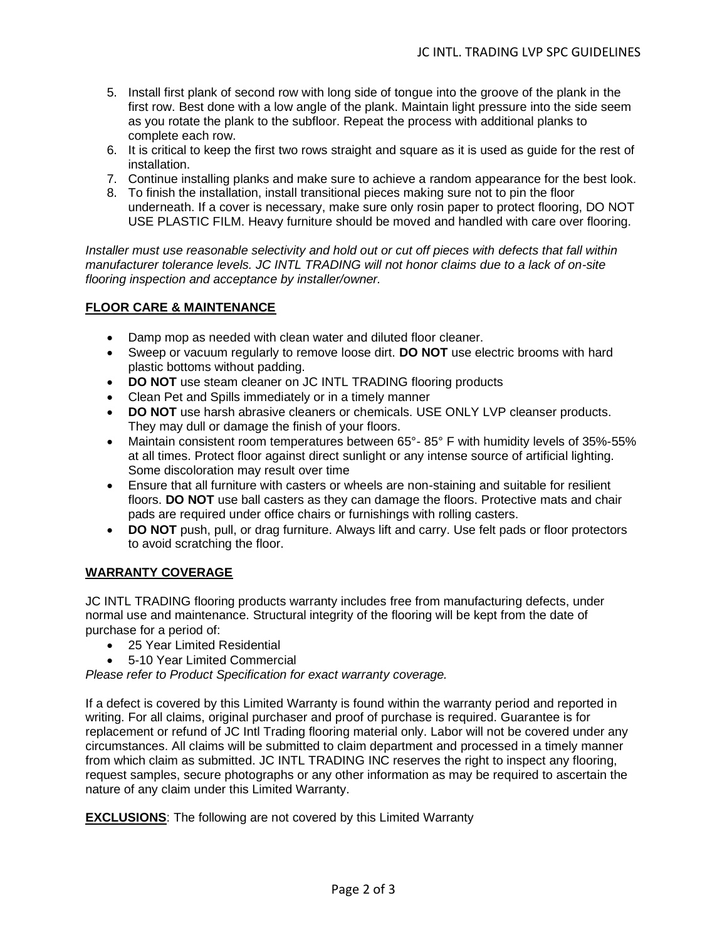- 5. Install first plank of second row with long side of tongue into the groove of the plank in the first row. Best done with a low angle of the plank. Maintain light pressure into the side seem as you rotate the plank to the subfloor. Repeat the process with additional planks to complete each row.
- 6. It is critical to keep the first two rows straight and square as it is used as guide for the rest of installation.
- 7. Continue installing planks and make sure to achieve a random appearance for the best look.
- 8. To finish the installation, install transitional pieces making sure not to pin the floor underneath. If a cover is necessary, make sure only rosin paper to protect flooring, DO NOT USE PLASTIC FILM. Heavy furniture should be moved and handled with care over flooring.

*Installer must use reasonable selectivity and hold out or cut off pieces with defects that fall within manufacturer tolerance levels. JC INTL TRADING will not honor claims due to a lack of on-site flooring inspection and acceptance by installer/owner.*

# **FLOOR CARE & MAINTENANCE**

- Damp mop as needed with clean water and diluted floor cleaner.
- Sweep or vacuum regularly to remove loose dirt. **DO NOT** use electric brooms with hard plastic bottoms without padding.
- **DO NOT** use steam cleaner on JC INTL TRADING flooring products
- Clean Pet and Spills immediately or in a timely manner
- **DO NOT** use harsh abrasive cleaners or chemicals. USE ONLY LVP cleanser products. They may dull or damage the finish of your floors.
- Maintain consistent room temperatures between 65°- 85° F with humidity levels of 35%-55% at all times. Protect floor against direct sunlight or any intense source of artificial lighting. Some discoloration may result over time
- Ensure that all furniture with casters or wheels are non-staining and suitable for resilient floors. **DO NOT** use ball casters as they can damage the floors. Protective mats and chair pads are required under office chairs or furnishings with rolling casters.
- **DO NOT** push, pull, or drag furniture. Always lift and carry. Use felt pads or floor protectors to avoid scratching the floor.

## **WARRANTY COVERAGE**

JC INTL TRADING flooring products warranty includes free from manufacturing defects, under normal use and maintenance. Structural integrity of the flooring will be kept from the date of purchase for a period of:

- 25 Year Limited Residential
- 5-10 Year Limited Commercial

*Please refer to Product Specification for exact warranty coverage.*

If a defect is covered by this Limited Warranty is found within the warranty period and reported in writing. For all claims, original purchaser and proof of purchase is required. Guarantee is for replacement or refund of JC Intl Trading flooring material only. Labor will not be covered under any circumstances. All claims will be submitted to claim department and processed in a timely manner from which claim as submitted. JC INTL TRADING INC reserves the right to inspect any flooring, request samples, secure photographs or any other information as may be required to ascertain the nature of any claim under this Limited Warranty.

**EXCLUSIONS**: The following are not covered by this Limited Warranty